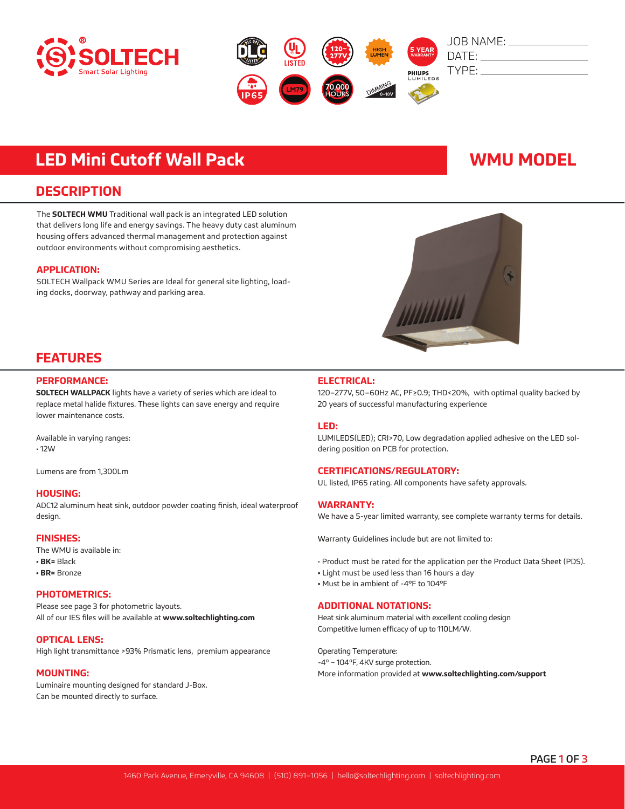



# **LED Mini Cutoff Wall Pack WMU MODEL**

### **DESCRIPTION**

The **SOLTECH WMU** Traditional wall pack is an integrated LED solution that delivers long life and energy savings. The heavy duty cast aluminum housing offers advanced thermal management and protection against outdoor environments without compromising aesthetics.

#### **APPLICATION:**

SOLTECH Wallpack WMU Series are Ideal for general site lighting, loading docks, doorway, pathway and parking area.



## **FEATURES**

#### **PERFORMANCE:**

**SOLTECH WALLPACK** lights have a variety of series which are ideal to replace metal halide fixtures. These lights can save energy and require lower maintenance costs.

Available in varying ranges: • 12W

Lumens are from 1,300Lm

#### **HOUSING:**

ADC12 aluminum heat sink, outdoor powder coating finish, ideal waterproof design.

#### **FINISHES:**

The WMU is available in:

- **BK=** Black
- **BR=** Bronze

#### **PHOTOMETRICS:**

Please see page 3 for photometric layouts. All of our IES files will be available at **www.soltechlighting.com**

#### **OPTICAL LENS:**

High light transmittance >93% Prismatic lens, premium appearance

#### **MOUNTING:**

Luminaire mounting designed for standard J-Box. Can be mounted directly to surface.

### **ELECTRICAL:**

120–277V, 50–60Hz AC, PF≥0.9; THD<20%, with optimal quality backed by 20 years of successful manufacturing experience

#### **LED:**

LUMILEDS(LED); CRI>70, Low degradation applied adhesive on the LED soldering position on PCB for protection.

#### **CERTIFICATIONS/REGULATORY:**

UL listed, IP65 rating. All components have safety approvals.

#### **WARRANTY:**

We have a 5-year limited warranty, see complete warranty terms for details.

Warranty Guidelines include but are not limited to:

- Product must be rated for the application per the Product Data Sheet (PDS).
- Light must be used less than 16 hours a day
- Must be in ambient of -4°F to 104°F

#### **ADDITIONAL NOTATIONS:**

Heat sink aluminum material with excellent cooling design Competitive lumen efficacy of up to 110LM/W.

Operating Temperature: -4º ~ 104ºF, 4KV surge protection. More information provided at **www.soltechlighting.com/support**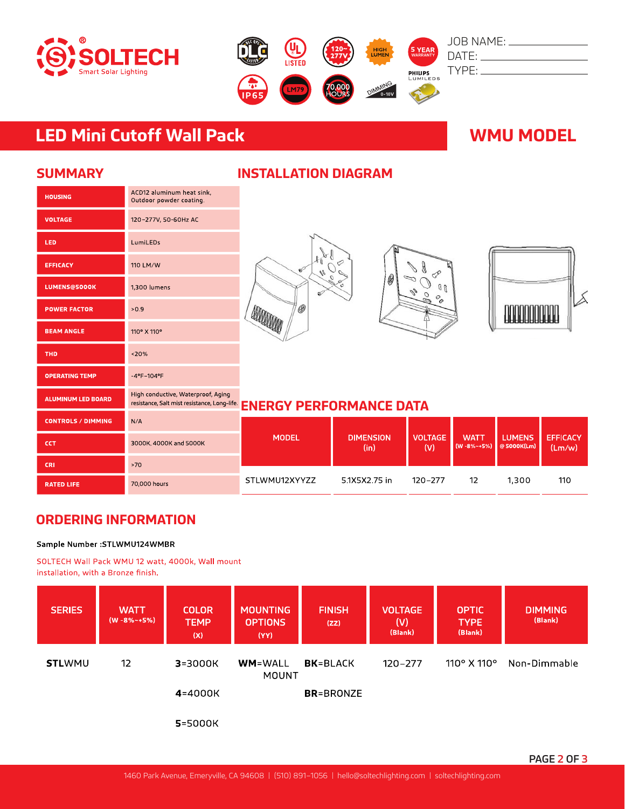



# **LED Mini Cutoff Wall Pack WMU MODEL**

ACD12 aluminum heat sink,

Outdoor powder coating.

120-277V, 50-60Hz AC

LumiLEDs

110 LM/W

 $-0.9$ 

 $120%$ 

1,300 lumens

110° X 110°

 $-4^{\circ}$ F $-104^{\circ}$ F

## **SUMMARY**

**HOUSING** 

VOLTAGE

EFFICACY

LUMENS@5000K

**POWER FACTOR** 

**BEAM ANGLE** 

**OPERATING TEMP** 

**ALUMINUM LED BOARD** 

**THD** 

LED

| <b>INSTALLATION DIAGRAM</b> |
|-----------------------------|
|-----------------------------|







### High conductive, Waterproof, Aging resistance, Salt mist resistance, Long-life **ENERGY PERFORMANCE DATA**

| <b>CONTROLS / DIMMING</b> | N/A                    | <b>MODEL</b>  |                          | <b>VOLTAGE</b><br>(V) | <b>WATT</b><br>$(W - 8\% - +5\%)$ | <b>LUMENS</b><br>$\bigcirc$ 5000K(Lm) | <b>EFFICACY</b><br>$\textsf{Imm}/\textsf{w}$ |
|---------------------------|------------------------|---------------|--------------------------|-----------------------|-----------------------------------|---------------------------------------|----------------------------------------------|
| CCT                       | 3000K, 4000K and 5000K |               | <b>DIMENSION</b><br>(in) |                       |                                   |                                       |                                              |
| <b>CRI</b>                | >70                    |               |                          |                       |                                   |                                       |                                              |
| <b>RATED LIFE</b>         | 70,000 hours           | STLWMU12XYYZZ | 51X5X275 in              | 120-277               | 12                                | 1.300                                 | 110                                          |

# **ORDERING INFORMATION**

#### Sample Number : STLWMU124WMBR

SOLTECH Wall Pack WMU 12 watt, 4000k, Wall mount installation, with a Bronze finish.

| <b>SERIES</b> | <b>WATT</b><br>$(W - 8\% - +5\%)$ | <b>COLOR</b><br><b>TEMP</b><br>(x) | <b>MOUNTING</b><br><b>OPTIONS</b><br>(YY) | <b>FINISH</b><br>(ZZ) | <b>VOLTAGE</b><br>(V)<br>(Blank) | <b>OPTIC</b><br><b>TYPE</b><br>(Blank) | <b>DIMMING</b><br>(Blank) |
|---------------|-----------------------------------|------------------------------------|-------------------------------------------|-----------------------|----------------------------------|----------------------------------------|---------------------------|
| <b>STLWMU</b> | 12                                | $3 = 3000K$                        | <b>WM</b> =WALL<br>MOUNT                  | <b>BK</b> =BLACK      | $120 - 277$                      | $110^{\circ}$ X $110^{\circ}$          | Non-Dimmable              |
|               |                                   | 4=4000K                            |                                           | <b>BR</b> =BRONZE     |                                  |                                        |                           |
|               |                                   | $5 = 5000K$                        |                                           |                       |                                  |                                        |                           |